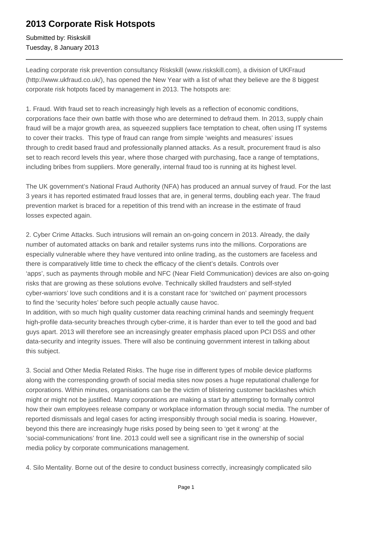## **2013 Corporate Risk Hotspots**

Submitted by: Riskskill Tuesday, 8 January 2013

Leading corporate risk prevention consultancy Riskskill (www.riskskill.com), a division of UKFraud (http://www.ukfraud.co.uk/), has opened the New Year with a list of what they believe are the 8 biggest corporate risk hotpots faced by management in 2013. The hotspots are:

1. Fraud. With fraud set to reach increasingly high levels as a reflection of economic conditions, corporations face their own battle with those who are determined to defraud them. In 2013, supply chain fraud will be a major growth area, as squeezed suppliers face temptation to cheat, often using IT systems to cover their tracks. This type of fraud can range from simple 'weights and measures' issues through to credit based fraud and professionally planned attacks. As a result, procurement fraud is also set to reach record levels this year, where those charged with purchasing, face a range of temptations, including bribes from suppliers. More generally, internal fraud too is running at its highest level.

The UK government's National Fraud Authority (NFA) has produced an annual survey of fraud. For the last 3 years it has reported estimated fraud losses that are, in general terms, doubling each year. The fraud prevention market is braced for a repetition of this trend with an increase in the estimate of fraud losses expected again.

2. Cyber Crime Attacks. Such intrusions will remain an on-going concern in 2013. Already, the daily number of automated attacks on bank and retailer systems runs into the millions. Corporations are especially vulnerable where they have ventured into online trading, as the customers are faceless and there is comparatively little time to check the efficacy of the client's details. Controls over 'apps', such as payments through mobile and NFC (Near Field Communication) devices are also on-going risks that are growing as these solutions evolve. Technically skilled fraudsters and self-styled cyber-warriors' love such conditions and it is a constant race for 'switched on' payment processors to find the 'security holes' before such people actually cause havoc.

In addition, with so much high quality customer data reaching criminal hands and seemingly frequent high-profile data-security breaches through cyber-crime, it is harder than ever to tell the good and bad guys apart. 2013 will therefore see an increasingly greater emphasis placed upon PCI DSS and other data-security and integrity issues. There will also be continuing government interest in talking about this subject.

3. Social and Other Media Related Risks. The huge rise in different types of mobile device platforms along with the corresponding growth of social media sites now poses a huge reputational challenge for corporations. Within minutes, organisations can be the victim of blistering customer backlashes which might or might not be justified. Many corporations are making a start by attempting to formally control how their own employees release company or workplace information through social media. The number of reported dismissals and legal cases for acting irresponsibly through social media is soaring. However, beyond this there are increasingly huge risks posed by being seen to 'get it wrong' at the 'social-communications' front line. 2013 could well see a significant rise in the ownership of social media policy by corporate communications management.

4. Silo Mentality. Borne out of the desire to conduct business correctly, increasingly complicated silo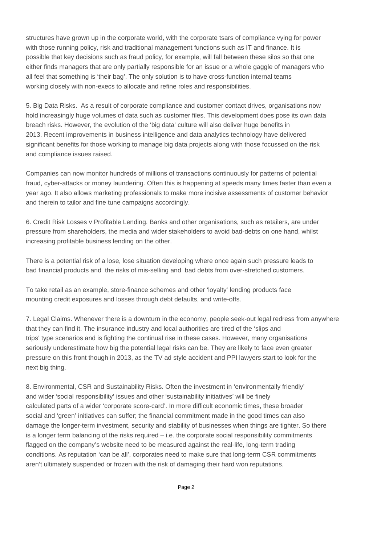structures have grown up in the corporate world, with the corporate tsars of compliance vying for power with those running policy, risk and traditional management functions such as IT and finance. It is possible that key decisions such as fraud policy, for example, will fall between these silos so that one either finds managers that are only partially responsible for an issue or a whole gaggle of managers who all feel that something is 'their bag'. The only solution is to have cross-function internal teams working closely with non-execs to allocate and refine roles and responsibilities.

5. Big Data Risks. As a result of corporate compliance and customer contact drives, organisations now hold increasingly huge volumes of data such as customer files. This development does pose its own data breach risks. However, the evolution of the 'big data' culture will also deliver huge benefits in 2013. Recent improvements in business intelligence and data analytics technology have delivered significant benefits for those working to manage big data projects along with those focussed on the risk and compliance issues raised.

Companies can now monitor hundreds of millions of transactions continuously for patterns of potential fraud, cyber-attacks or money laundering. Often this is happening at speeds many times faster than even a year ago. It also allows marketing professionals to make more incisive assessments of customer behavior and therein to tailor and fine tune campaigns accordingly.

6. Credit Risk Losses v Profitable Lending. Banks and other organisations, such as retailers, are under pressure from shareholders, the media and wider stakeholders to avoid bad-debts on one hand, whilst increasing profitable business lending on the other.

There is a potential risk of a lose, lose situation developing where once again such pressure leads to bad financial products and the risks of mis-selling and bad debts from over-stretched customers.

To take retail as an example, store-finance schemes and other 'loyalty' lending products face mounting credit exposures and losses through debt defaults, and write-offs.

7. Legal Claims. Whenever there is a downturn in the economy, people seek-out legal redress from anywhere that they can find it. The insurance industry and local authorities are tired of the 'slips and trips' type scenarios and is fighting the continual rise in these cases. However, many organisations seriously underestimate how big the potential legal risks can be. They are likely to face even greater pressure on this front though in 2013, as the TV ad style accident and PPI lawyers start to look for the next big thing.

8. Environmental, CSR and Sustainability Risks. Often the investment in 'environmentally friendly' and wider 'social responsibility' issues and other 'sustainability initiatives' will be finely calculated parts of a wider 'corporate score-card'. In more difficult economic times, these broader social and 'green' initiatives can suffer; the financial commitment made in the good times can also damage the longer-term investment, security and stability of businesses when things are tighter. So there is a longer term balancing of the risks required  $-$  i.e. the corporate social responsibility commitments flagged on the company's website need to be measured against the real-life, long-term trading conditions. As reputation 'can be all', corporates need to make sure that long-term CSR commitments aren't ultimately suspended or frozen with the risk of damaging their hard won reputations.